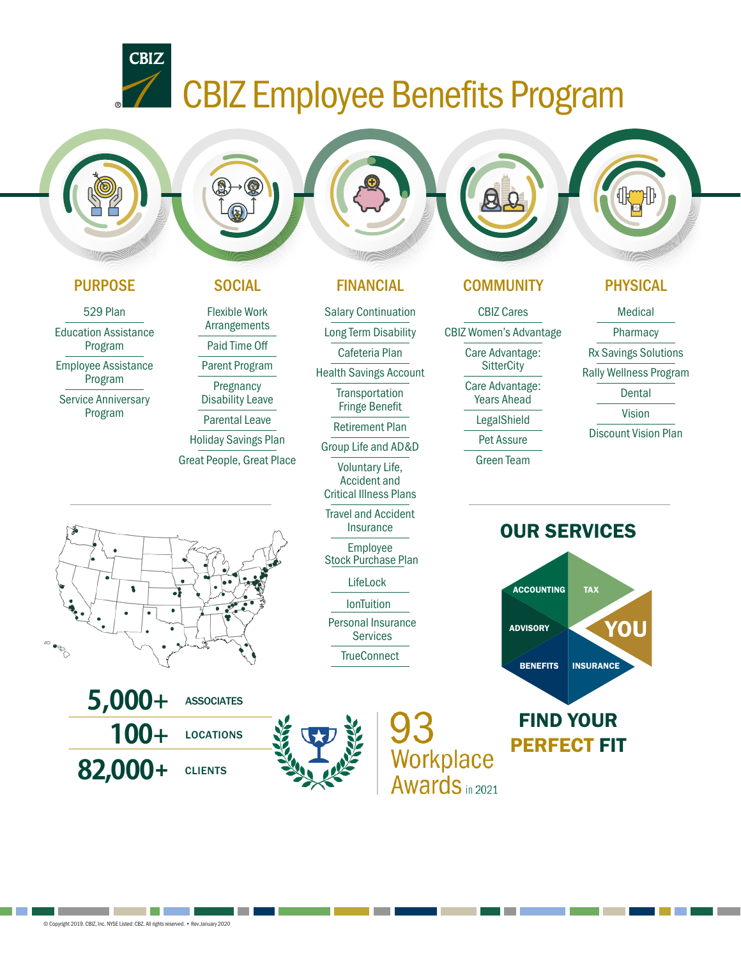# **TEAN CBIZ Employee Benefits Program**

Salary Continuation Long Term Disability Cafeteria Plan Health Savings Account **Transportation** Fringe Benefit Retirement Plan Group Life and AD&D Voluntary Life, Accident and Critical Illness Plans Travel and Accident Insurance Employee Stock Purchase Plan LifeLock

> Personal Insurance Services **TrueConnect**

> > Workplace

Awards in 2021

**IonTuition** 



**CBIZ** 

529 Plan Education Assistance Program

Employee Assistance Program

Service Anniversary Program

Flexible Work Arrangements Paid Time Off

Parent Program

**Pregnancy** Disability Leave

Parental Leave Holiday Savings Plan

Great People, Great Place









# PURPOSE SOCIAL FINANCIAL COMMUNITY PHYSICAL

CBIZ Cares CBIZ Women's Advantage Care Advantage: **SitterCity** Care Advantage: Years Ahead LegalShield Pet Assure Green Team

Medical

Pharmacy

- Rx Savings Solutions
- Rally Wellness Program

**Dental** 

Vision

Discount Vision Plan





# FIND YOUR PERFECT FIT

and the control of the control of the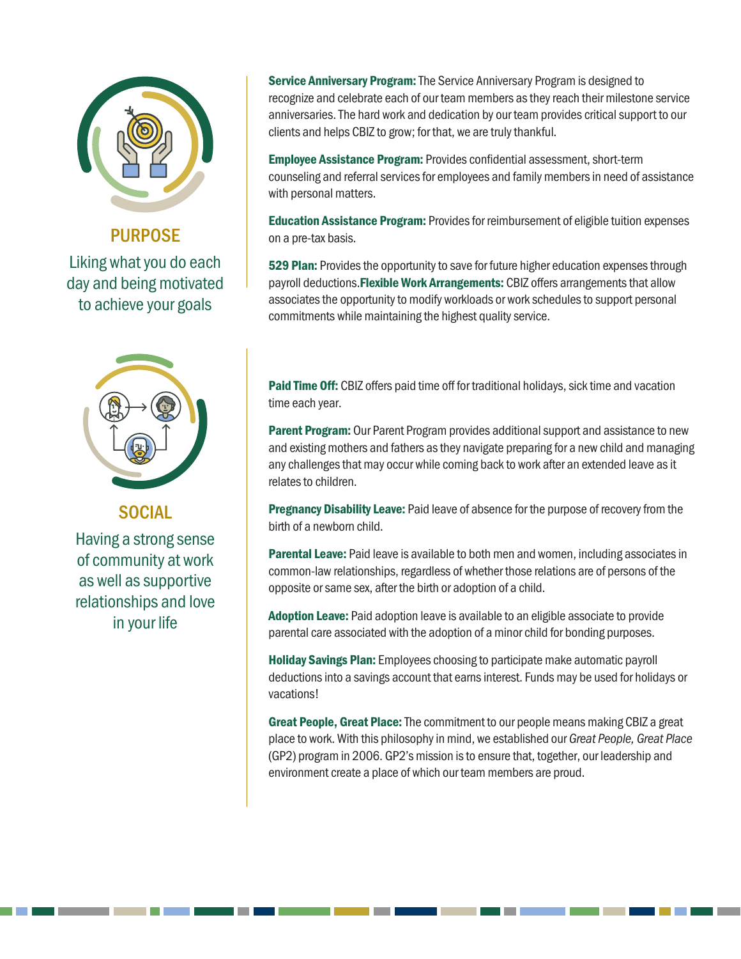

PURPOSE

Liking what you do each day and being motivated to achieve your goals



**SOCIAL** 

Having a strong sense of community at work as well as supportive relationships and love in your life

**Service Anniversary Program:** The Service Anniversary Program is designed to recognize and celebrate each of our team members as they reach their milestone service anniversaries. The hard work and dedication by our team provides critical support to our clients and helps CBIZ to grow; for that, we are truly thankful.

Employee Assistance Program: Provides confidential assessment, short-term counseling and referral services for employees and family members in need of assistance with personal matters.

**Education Assistance Program:** Provides for reimbursement of eligible tuition expenses on a pre-tax basis.

529 Plan: Provides the opportunity to save for future higher education expenses through payroll deductions. Flexible Work Arrangements: CBIZ offers arrangements that allow associates the opportunity to modify workloads or work schedules to support personal commitments while maintaining the highest quality service.

Paid Time Off: CBIZ offers paid time off for traditional holidays, sick time and vacation time each year.

**Parent Program:** Our Parent Program provides additional support and assistance to new and existing mothers and fathers as they navigate preparing for a new child and managing any challenges that may occur while coming back to work after an extended leave as it relates to children.

**Pregnancy Disability Leave:** Paid leave of absence for the purpose of recovery from the birth of a newborn child.

**Parental Leave:** Paid leave is available to both men and women, including associates in common-law relationships, regardless of whether those relations are of persons of the opposite or same sex, after the birth or adoption of a child.

Adoption Leave: Paid adoption leave is available to an eligible associate to provide parental care associated with the adoption of a minor child for bonding purposes.

Holiday Savings Plan: Employees choosing to participate make automatic payroll deductions into a savings account that earns interest. Funds may be used for holidays or vacations!

Great People, Great Place: The commitment to our people means making CBIZ a great place to work. With this philosophy in mind, we established our *Great People, Great Place* (GP2) program in 2006. GP2's mission is to ensure that, together, our leadership and environment create a place of which our team members are proud.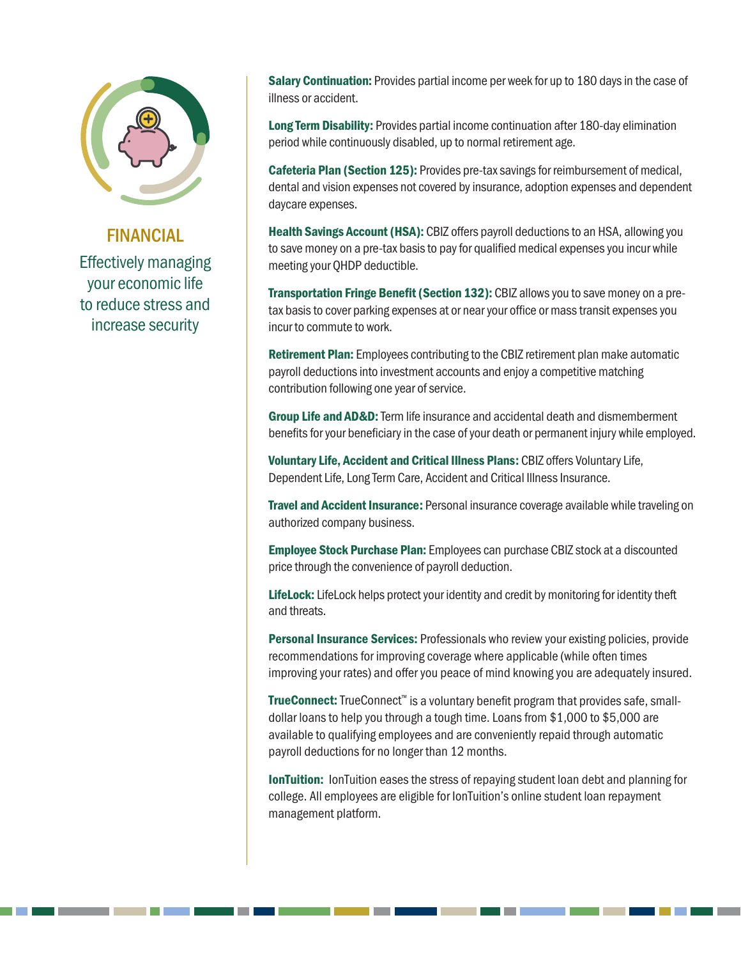

### FINANCIAL

Effectively managing your economic life to reduce stress and increase security

Salary Continuation: Provides partial income per week for up to 180 days in the case of illness or accident.

Long Term Disability: Provides partial income continuation after 180-day elimination period while continuously disabled, up to normal retirement age.

Cafeteria Plan (Section 125): Provides pre-tax savings for reimbursement of medical, dental and vision expenses not covered by insurance, adoption expenses and dependent daycare expenses.

Health Savings Account (HSA): CBIZ offers payroll deductions to an HSA, allowing you to save money on a pre-tax basis to pay for qualified medical expenses you incur while meeting your QHDP deductible.

Transportation Fringe Benefit (Section 132): CBIZ allows you to save money on a pretax basis to cover parking expenses at or near your office or mass transit expenses you incur to commute to work.

**Retirement Plan:** Employees contributing to the CBIZ retirement plan make automatic payroll deductions into investment accounts and enjoy a competitive matching contribution following one year of service.

Group Life and AD&D: Term life insurance and accidental death and dismemberment benefits for your beneficiary in the case of your death or permanent injury while employed.

Voluntary Life, Accident and Critical Illness Plans: CBIZ offers Voluntary Life, Dependent Life, Long Term Care, Accident and Critical Illness Insurance.

**Travel and Accident Insurance:** Personal insurance coverage available while traveling on authorized company business.

**Employee Stock Purchase Plan:** Employees can purchase CBIZ stock at a discounted price through the convenience of payroll deduction.

LifeLock: LifeLock helps protect your identity and credit by monitoring for identity theft and threats.

**Personal Insurance Services:** Professionals who review your existing policies, provide recommendations for improving coverage where applicable (while often times improving your rates) and offer you peace of mind knowing you are adequately insured.

TrueConnect: TrueConnect<sup>™</sup> is a voluntary benefit program that provides safe, smalldollar loans to help you through a tough time. Loans from \$1,000 to \$5,000 are available to qualifying employees and are conveniently repaid through automatic payroll deductions for no longer than 12 months.

**IonTuition:** IonTuition eases the stress of repaying student loan debt and planning for college. All employees are eligible for IonTuition's online student loan repayment management platform.

<u> Tanzania (</u>